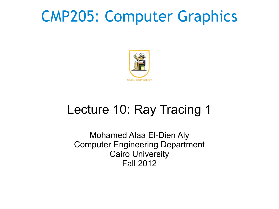# CMP205: Computer Graphics



### Lecture 10: Ray Tracing 1

Mohamed Alaa El-Dien Aly Computer Engineering Department Cairo University Fall 2012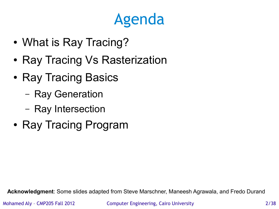# Agenda

- What is Ray Tracing?
- Ray Tracing Vs Rasterization
- Ray Tracing Basics
	- Ray Generation
	- Ray Intersection
- Ray Tracing Program

**Acknowledgment**: Some slides adapted from Steve Marschner, Maneesh Agrawala, and Fredo Durand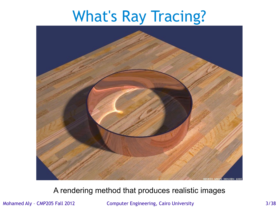# What's Ray Tracing?



#### A rendering method that produces realistic images

Mohamed Aly – CMP205 Fall 2012 Computer Engineering, Cairo University 3/38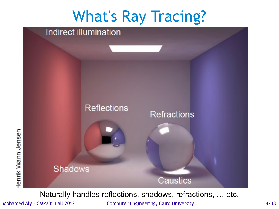

Naturally handles reflections, shadows, refractions, … etc.

Mohamed Aly - CMP205 Fall 2012 Computer Engineering, Cairo University 4/38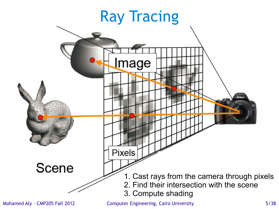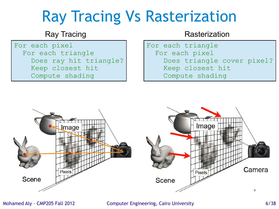# Ray Tracing Vs Rasterization

For each pixel For each triangle Does ray hit triangle? Keep closest hit Compute shading

#### Ray Tracing **Rasterization** Rasterization

For each triangle For each pixel Does triangle cover pixel? Keep closest hit Compute shading



Mohamed Aly – CMP205 Fall 2012 Computer Engineering, Cairo University 6/38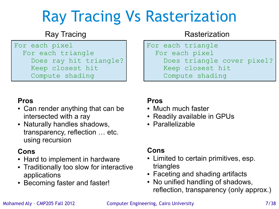# Ray Tracing Vs Rasterization

For each pixel For each triangle Does ray hit triangle? Keep closest hit Compute shading

#### Ray Tracing **Rasterization** Rasterization

For each triangle For each pixel Does triangle cover pixel? Keep closest hit Compute shading

#### **Pros**

- Can render anything that can be intersected with a ray
- Naturally handles shadows, transparency, reflection … etc. using recursion

### **Cons**

- Hard to implement in hardware
- Traditionally too slow for interactive applications
- Becoming faster and faster!

### **Pros**

- Much much faster
- Readily available in GPUs
- Parallelizable

#### **Cons**

- Limited to certain primitives, esp. triangles
- Faceting and shading artifacts
- No unified handling of shadows, reflection, transparency (only approx.)

#### Mohamed Aly - CMP205 Fall 2012 Computer Engineering, Cairo University 7/38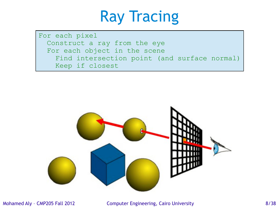### Ray Tracing

For each pixel Construct a ray from the eye For each object in the scene Find intersection point (and surface normal) Keep if closest



Mohamed Aly - CMP205 Fall 2012 Computer Engineering, Cairo University 6/38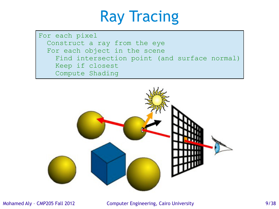## Ray Tracing

For each pixel Construct a ray from the eye For each object in the scene Find intersection point (and surface normal) Keep if closest Compute Shading

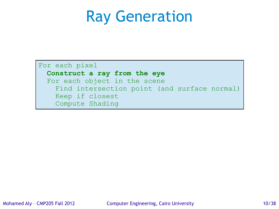### Ray Generation

For each pixel

#### **Construct a ray from the eye**

 For each object in the scene Find intersection point (and surface normal) Keep if closest Compute Shading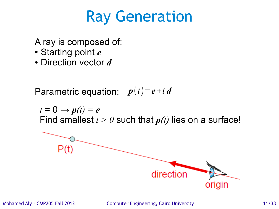### Ray Generation

A ray is composed of:

- Starting point *e*
- Direction vector *d*

Parametric equation:  $p(t)=e+t d$ 

 $t = 0 \rightarrow p(t) = e$ Find smallest  $t > 0$  such that  $p(t)$  lies on a surface!

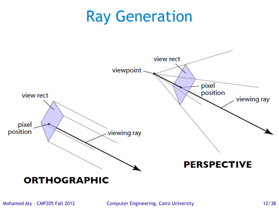### Ray Generation



Mohamed Aly - CMP205 Fall 2012 Computer Engineering, Cairo University 12/38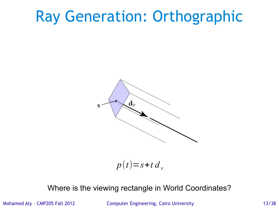## Ray Generation: Orthographic



 $p(t)=s+t d$  *v* 

#### Where is the viewing rectangle in World Coordinates?

Mohamed Aly - CMP205 Fall 2012 Computer Engineering, Cairo University 13/38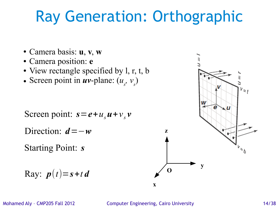# Ray Generation: Orthographic

- Camera basis: **u**, **v**, **w**
- Camera position: **e**
- View rectangle specified by l, r, t, b
- Screen point in  $uv$ -plane:  $(u_s, v_s)$

Screen point:  $s = e + u_s u + v_s v$ 

Direction: *d*=−*w*

Starting Point: *s*

$$
\text{Ray: } \mathbf{p}(t) = \mathbf{s} + t \, \mathbf{d}
$$



Mohamed Aly – CMP205 Fall 2012 Computer Engineering, Cairo University 14/38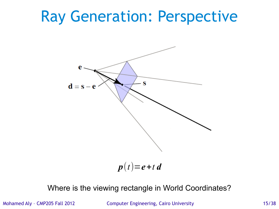### Ray Generation: Perspective



 $p(t) = e + t d$ 

#### Where is the viewing rectangle in World Coordinates?

Mohamed Aly - CMP205 Fall 2012 Computer Engineering, Cairo University 15/38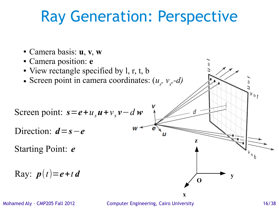# Ray Generation: Perspective

- Camera basis: **u**, **v**, **w**
- Camera position: **e**
- View rectangle specified by l, r, t, b
- Screen point in camera coordinates:  $(u_s, v_s, -d)$

$$
Screen point: s = e + us u + vs v - d w
$$

Direction:  $d = s - e$ 

Starting Point: *e*

$$
\text{Ray: } \mathbf{p}(t) = \mathbf{e} + t \, \mathbf{d}
$$

Mohamed Aly – CMP205 Fall 2012 Computer Engineering, Cairo University 16/38

**x**

**z**

**O**

 $v_{\leq t}$ 

**y**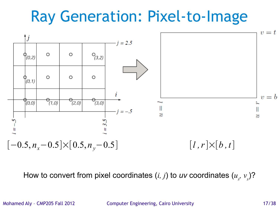# Ray Generation: Pixel-to-Image



How to convert from pixel coordinates  $(i, j)$  to uv coordinates  $(u_{s}, v_{s})$ ?

Mohamed Aly - CMP205 Fall 2012 Computer Engineering, Cairo University 17/38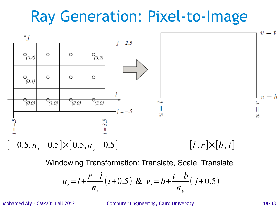# Ray Generation: Pixel-to-Image



Windowing Transformation: Translate, Scale, Translate

$$
u_s = l + \frac{r - l}{n_x} (i + 0.5) \& v_s = b + \frac{t - b}{n_y} (j + 0.5)
$$

Mohamed Aly – CMP205 Fall 2012 Computer Engineering, Cairo University 18/38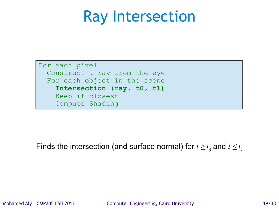### Ray Intersection

For each pixel Construct a ray from the eye For each object in the scene  **Intersection (ray, t0, t1)** Keep if closest Compute Shading

Finds the intersection (and surface normal) for  $t \geq t_{_0}$  and  $t \leq t_{_I}$ 

Mohamed Aly - CMP205 Fall 2012 Computer Engineering, Cairo University 19/38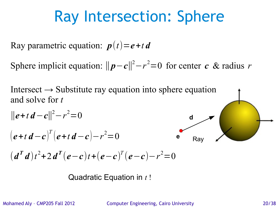# Ray Intersection: Sphere

Ray parametric equation:  $p(t) = e + t d$ 

Sphere implicit equation:  $||p-c||^2 - r^2 = 0$  for center *c* & radius *r* 

Intersect  $\rightarrow$  Substitute ray equation into sphere equation and solve for *t*



**Quadratic Equation in** 
$$
t
$$
!

Mohamed Aly – CMP205 Fall 2012 Computer Engineering, Cairo University 20/38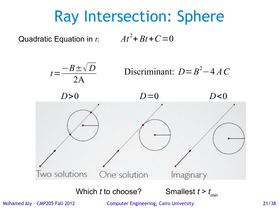## Ray Intersection: Sphere

Quadratic Equation in *t*:  $At^2 + Bt + C = 0$ 



Mohamed Aly – CMP205 Fall 2012 Computer Engineering, Cairo University 21/38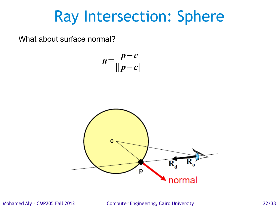### Ray Intersection: Sphere

What about surface normal?

$$
n=\frac{p-c}{\|p-c\|}
$$



Mohamed Aly – CMP205 Fall 2012 Computer Engineering, Cairo University 22/38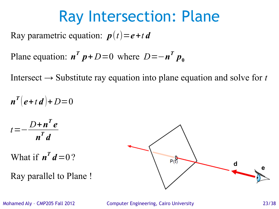### Ray Intersection: Plane

Ray parametric equation:  $p(t) = e + t d$ 

Plane equation:  $n^T p + D=0$  where  $D = -n^T p_0$ 

Intersect  $\rightarrow$  Substitute ray equation into plane equation and solve for *t* 

$$
n^{T}(e+t d)+D=0
$$
  
\n
$$
t=-\frac{D+n^{T}e}{n^{T}d}
$$
  
\nWhat if  $n^{T}d=0$  ?  
\nRay parallel to Plane !



Mohamed Aly – CMP205 Fall 2012 Computer Engineering, Cairo University 23/38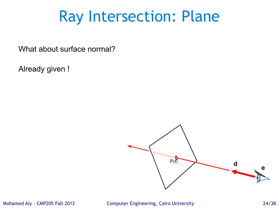### Ray Intersection: Plane

What about surface normal?

Already given !



Mohamed Aly – CMP205 Fall 2012 Computer Engineering, Cairo University 24/38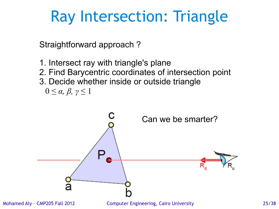Straightforward approach ?

1. Intersect ray with triangle's plane 2. Find Barycentric coordinates of intersection point 3. Decide whether inside or outside triangle  $0 \leq \alpha, \beta, \gamma \leq 1$ 

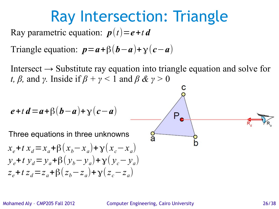Ray parametric equation:  $p(t) = e + t d$ 

Triangle equation:  $p = a + \beta (b - a) + \gamma (c - a)$ 

Intersect  $\rightarrow$  Substitute ray equation into triangle equation and solve for *t, β,* and *γ*. Inside if  $β + γ < 1$  and  $β & y > 0$ 

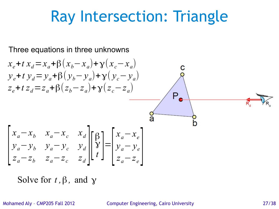Three equations in three unknowns

$$
x_e + t x_d = x_a + \beta (x_b - x_a) + \gamma (x_c - x_a)
$$
  
\n
$$
y_e + t y_d = y_a + \beta (y_b - y_a) + \gamma (y_c - y_a)
$$
  
\n
$$
z_e + t z_d = z_a + \beta (z_b - z_a) + \gamma (z_c - z_a)
$$
  
\n
$$
\begin{bmatrix}\nx_a - x_b & x_a - x_c & x_d \\
y_a - y_b & y_a - y_c & y_d \\
z_a - z_b & z_a - z_c & z_d\n\end{bmatrix} \begin{bmatrix}\n\beta \\
\gamma \\
\gamma \\
\delta\n\end{bmatrix} = \begin{bmatrix}\nx_a - x_e \\
y_a - y_e \\
z_a - z_e\n\end{bmatrix}
$$

Solve for  $t$ ,  $\beta$ , and  $\gamma$ 

Mohamed Aly – CMP205 Fall 2012 Computer Engineering, Cairo University 27/38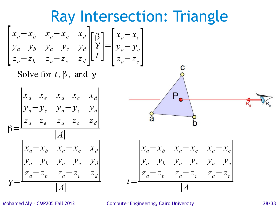

Mohamed Aly – CMP205 Fall 2012 Computer Engineering, Cairo University 28/38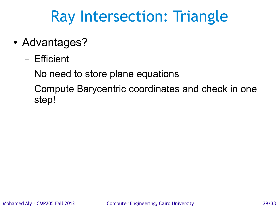- Advantages?
	- Efficient
	- No need to store plane equations
	- Compute Barycentric coordinates and check in one step!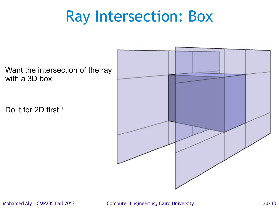# Ray Intersection: Box

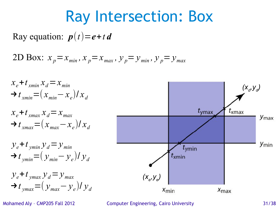### Ray Intersection: Box

Ray equation:  $p(t) = e + t d$ 

2D Box:  $x_p = x_{min}$ ,  $x_p = x_{max}$ ,  $y_p = y_{min}$ ,  $y_p = y_{max}$ 



Mohamed Aly – CMP205 Fall 2012 Computer Engineering, Cairo University 31/38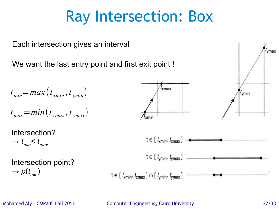## Ray Intersection: Box

Each intersection gives an interval  $t_{\rm{vmax}}$ We want the last entry point and first exit point !  $\bar{t}_{\mathsf{xmax}}$  $t_{min}$  = *max* ( $t_{min}$  ,  $t_{ymin}$ )  $t_{\text{vmin}}$  $t_{\textit{max}}$   $=$   $min(t_{\textit{xmax}}, t_{\textit{ymax}})$ Intersection?  $t \in [t_{\text{xmin}}, t_{\text{xmax}}]$  - $\rightarrow t_{\text{min}}$  <  $t_{\text{max}}$  $t \in [t_{\text{ymin}}, t_{\text{ymax}}]$ Intersection point?  $\rightarrow$  *p*( $t_{min}$ )  $t \in [t_{\text{xmin}}, t_{\text{xmax}}] \cap [t_{\text{ymin}}, t_{\text{ymax}}]$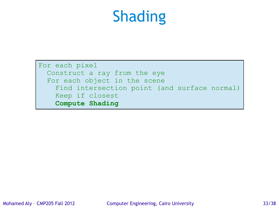# Shading

For each pixel Construct a ray from the eye For each object in the scene Find intersection point (and surface normal) Keep if closest  **Compute Shading**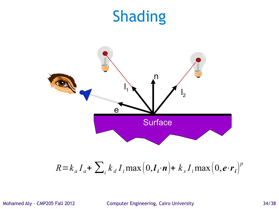### Shading



$$
R = k_a I_a + \sum_i k_d I_i \max\left(0, l_i \cdot n\right) + k_s I_i \max\left(0, e \cdot r_i\right)^p
$$

Mohamed Aly – CMP205 Fall 2012 Computer Engineering, Cairo University 34/38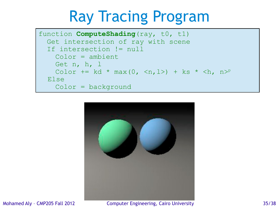# Ray Tracing Program

```
function ComputeShading(ray, t0, t1)
   Get intersection of ray with scene
   If intersection != null
     Color = ambient
     Get n, h, l
    Color += kd * max(0, \langle n, l \rangle) + ks * \langle h, n \rangle^p Else
     Color = background
```


Mohamed Aly – CMP205 Fall 2012 Computer Engineering, Cairo University 35/38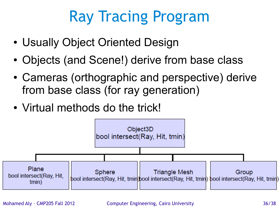# Ray Tracing Program

- Usually Object Oriented Design
- Objects (and Scene!) derive from base class
- Cameras (orthographic and perspective) derive from base class (for ray generation)
- Virtual methods do the trick!

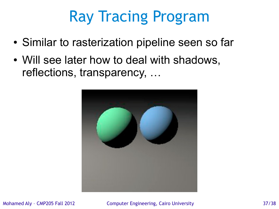# Ray Tracing Program

- Similar to rasterization pipeline seen so far
- Will see later how to deal with shadows, reflections, transparency, …